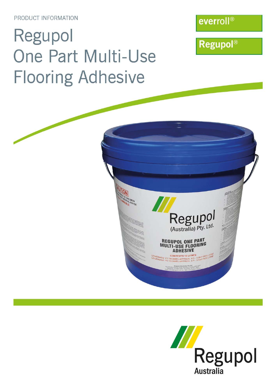PRODUCT INFORMATION

# Regupol One Part Multi-Use **Flooring Adhesive**

everroll®

**Regupol®** 



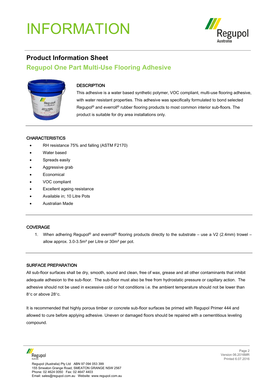## INFORMATION



### **Product Information Sheet**

### **Regupol One Part Multi-Use Flooring Adhesive**



#### **DESCRIPTION**

This adhesive is a water based synthetic polymer, VOC compliant, multi-use flooring adhesive, with water resistant properties. This adhesive was specifically formulated to bond selected Regupol<sup>®</sup> and everroll<sup>®</sup> rubber flooring products to most common interior sub-floors. The product is suitable for dry area installations only.

#### **CHARACTERISTICS**

- RH resistance 75% and falling (ASTM F2170)
- Water based
- Spreads easily
- Aggressive grab
- **Economical**
- VOC compliant
- Excellent ageing resistance
- Available in; 10 Litre Pots
- Australian Made

#### COVERAGE

1. When adhering Regupol<sup>®</sup> and everroll<sup>®</sup> flooring products directly to the substrate – use a V2 (2.4mm) trowel – allow approx. 3.0-3.5m² per Litre or 30m² per pot.

#### SURFACE PREPARATION

All sub-floor surfaces shall be dry, smooth, sound and clean, free of wax, grease and all other contaminants that inhibit adequate adhesion to the sub-floor. The sub-floor must also be free from hydrostatic pressure or capillary action. The adhesive should not be used in excessive cold or hot conditions i.e. the ambient temperature should not be lower than 8°c or above 28°c.

It is recommended that highly porous timber or concrete sub-floor surfaces be primed with Regupol Primer 444 and allowed to cure before applying adhesive. Uneven or damaged floors should be repaired with a cementitious leveling compound.

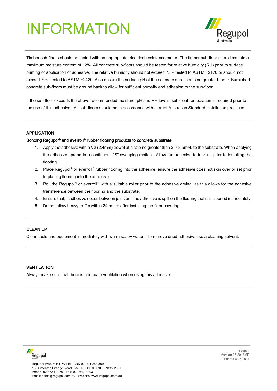## INFORMATION



Timber sub-floors should be tested with an appropriate electrical resistance meter. The timber sub-floor should contain a maximum moisture content of 12%. All concrete sub-floors should be tested for relative humidity (RH) prior to surface priming or application of adhesive. The relative humidity should not exceed 75% tested to ASTM F2170 or should not exceed 70% tested to ASTM F2420. Also ensure the surface pH of the concrete sub-floor is no greater than 9. Burnished concrete sub-floors must be ground back to allow for sufficient porosity and adhesion to the sub-floor.

If the sub-floor exceeds the above recommended moisture, pH and RH levels, sufficient remediation is required prior to the use of this adhesive. All sub-floors should be in accordance with current Australian Standard installation practices.

#### APPLICATION

#### Bonding Regupol® and everroll® rubber flooring products to concrete substrate

- 1. Apply the adhesive with a V2 (2.4mm) trowel at a rate no greater than 3.0-3.5m<sup>2</sup>/L to the substrate. When applying the adhesive spread in a continuous "S" sweeping motion. Allow the adhesive to tack up prior to installing the flooring.
- 2. Place Regupol® or everroll® rubber flooring into the adhesive; ensure the adhesive does not skin over or set prior to placing flooring into the adhesive.
- 3. Roll the Regupol<sup>®</sup> or everroll<sup>®</sup> with a suitable roller prior to the adhesive drying, as this allows for the adhesive transference between the flooring and the substrate.
- 4. Ensure that, if adhesive oozes between joins or if the adhesive is spilt on the flooring that it is cleaned immediately.
- 5. Do not allow heavy traffic within 24 hours after installing the floor covering.

#### CLEAN UP

Clean tools and equipment immediately with warm soapy water. To remove dried adhesive use a cleaning solvent.

#### **VENTILATION**

Always make sure that there is adequate ventilation when using this adhesive.